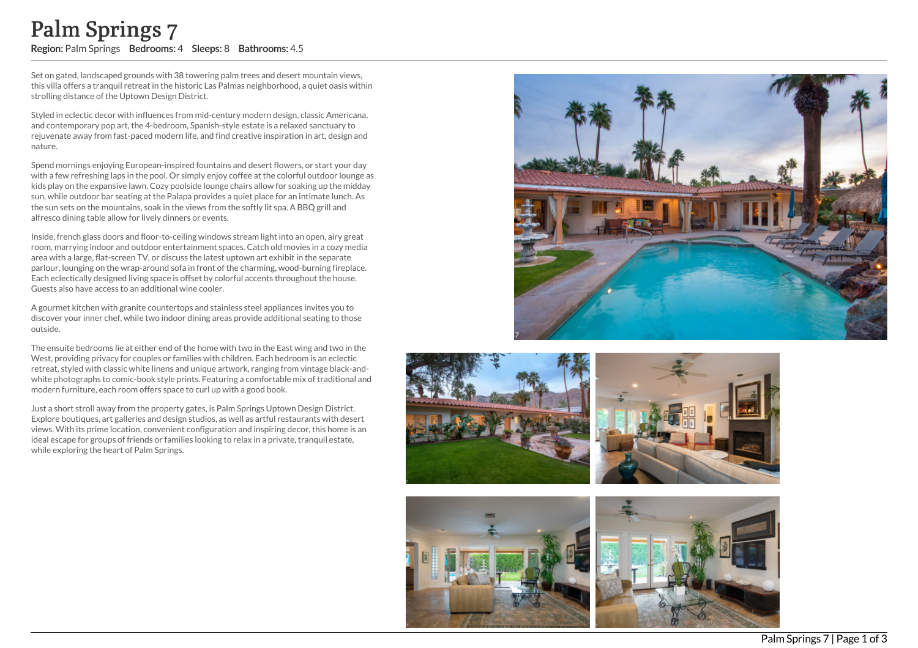## Palm Springs 7 Region: Palm Springs Bedrooms: 4 Sleeps: 8 Bathrooms: 4.5

Set on gated, landscaped grounds with 38 towering palm trees and desert mountain views, this villa offers a tranquil retreat in the historic Las Palmas neighborhood, a quiet oasis within strolling distance of the Uptown Design District.

Styled in eclectic decor with influences from mid-century modern design, classic Americana, and contemporary pop art, the 4-bedroom, Spanish-style estate is a relaxed sanctuary to rejuvenate away from fast-paced modern life, and find creative inspiration in art, design and nature.

Spend mornings enjoying European-inspired fountains and desert flowers, or start your day with a few refreshing laps in the pool. Or simply enjoy coffee at the colorful outdoor lounge as kids play on the expansive lawn. Cozy poolside lounge chairs allow for soaking up the midday sun, while outdoor bar seating at the Palapa provides a quiet place for an intimate lunch. As the sun sets on the mountains, soak in the views from the softly lit spa. A BBQ grill and alfresco dining table allow for lively dinners or events.

Inside, french glass doors and floor-to-ceiling windows stream light into an open, airy great room, marrying indoor and outdoor entertainment spaces. Catch old movies in a cozy media area with a large, flat-screen TV, or discuss the latest uptown art exhibit in the separate parlour, lounging on the wrap-around sofa in front of the charming, wood-burning fireplace. Each eclectically designed living space is offset by colorful accents throughout the house. Guests also have access to an additional wine cooler.

A gourmet kitchen with granite countertops and stainless steel appliances invites you to discover your inner chef, while two indoor dining areas provide additional seating to those outside.

The ensuite bedrooms lie at either end of the home with two in the East wing and two in the West, providing privacy for couples or families with children. Each bedroom is an eclectic retreat, styled with classic white linens and unique artwork, ranging from vintage black-andwhite photographs to comic-book style prints. Featuring a comfortable mix of traditional and modern furniture, each room offers space to curl up with a good book.

Just a short stroll away from the property gates, is Palm Springs Uptown Design District. Explore boutiques, art galleries and design studios, as well as artful restaurants with desert views. With its prime location, convenient configuration and inspiring decor, this home is an ideal escape for groups of friends or families looking to relax in a private, tranquil estate, while exploring the heart of Palm Springs.





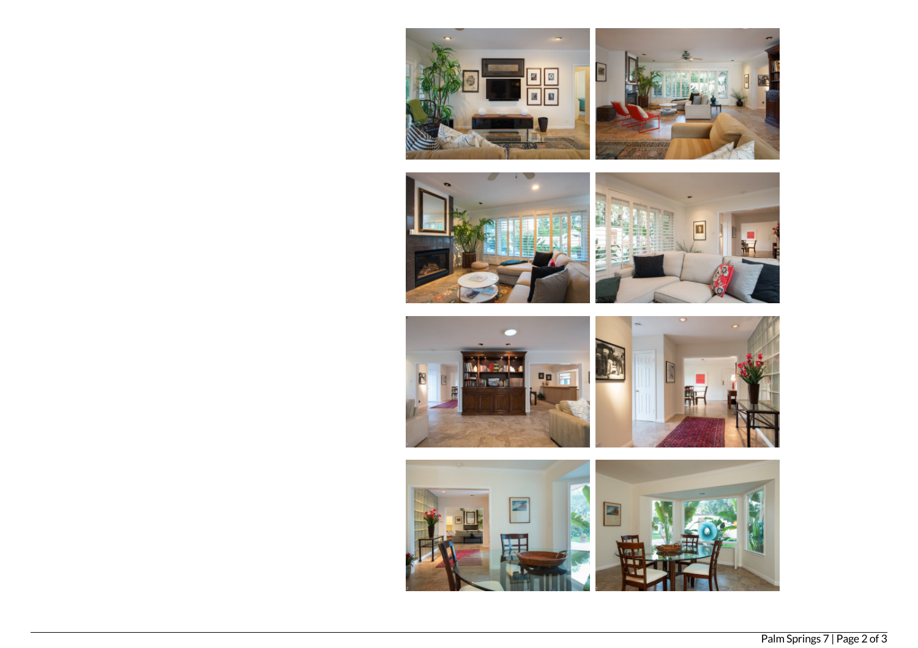